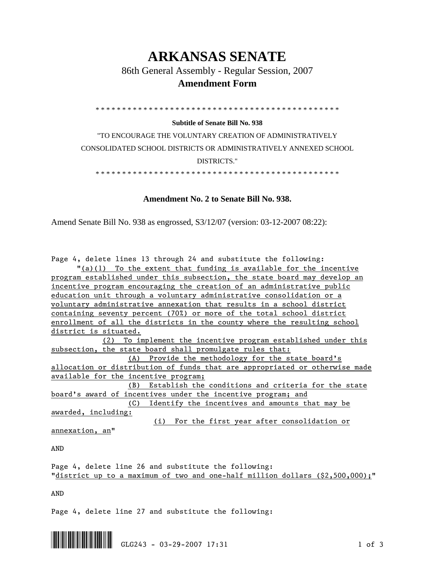## **ARKANSAS SENATE**

86th General Assembly - Regular Session, 2007

## **Amendment Form**

\* \* \* \* \* \* \* \* \* \* \* \* \* \* \* \* \* \* \* \* \* \* \* \* \* \* \* \* \* \* \* \* \* \* \* \* \* \* \* \* \* \* \* \* \* \*

## **Subtitle of Senate Bill No. 938**

"TO ENCOURAGE THE VOLUNTARY CREATION OF ADMINISTRATIVELY CONSOLIDATED SCHOOL DISTRICTS OR ADMINISTRATIVELY ANNEXED SCHOOL DISTRICTS."

\* \* \* \* \* \* \* \* \* \* \* \* \* \* \* \* \* \* \* \* \* \* \* \* \* \* \* \* \* \* \* \* \* \* \* \* \* \* \* \* \* \* \* \* \* \*

## **Amendment No. 2 to Senate Bill No. 938.**

Amend Senate Bill No. 938 as engrossed, S3/12/07 (version: 03-12-2007 08:22):

Page 4, delete lines 13 through 24 and substitute the following:

 "(a)(1) To the extent that funding is available for the incentive program established under this subsection, the state board may develop an incentive program encouraging the creation of an administrative public education unit through a voluntary administrative consolidation or a voluntary administrative annexation that results in a school district containing seventy percent (70%) or more of the total school district enrollment of all the districts in the county where the resulting school district is situated.

 (2) To implement the incentive program established under this subsection, the state board shall promulgate rules that:

 (A) Provide the methodology for the state board's allocation or distribution of funds that are appropriated or otherwise made available for the incentive program;

 (B) Establish the conditions and criteria for the state board's award of incentives under the incentive program; and

 (C) Identify the incentives and amounts that may be awarded, including:

(i) For the first year after consolidation or

annexation, an"

AND

Page 4, delete line 26 and substitute the following: "district up to a maximum of two and one-half million dollars (\$2,500,000);"

AND

Page 4, delete line 27 and substitute the following:

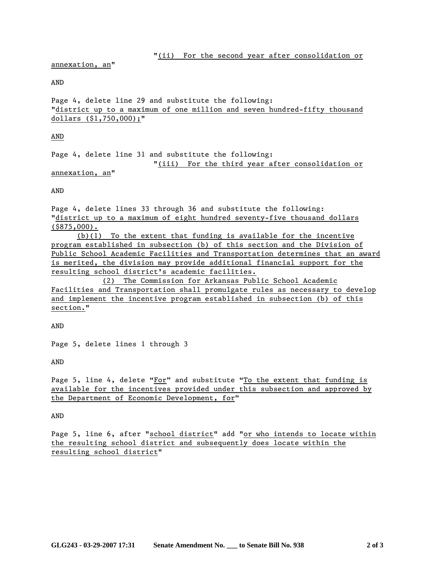annexation, an"

AND

Page 4, delete line 29 and substitute the following: "district up to a maximum of one million and seven hundred-fifty thousand dollars (\$1,750,000);"

AND

Page 4, delete line 31 and substitute the following: "(iii) For the third year after consolidation or

annexation, an"

AND

Page 4, delete lines 33 through 36 and substitute the following: "district up to a maximum of eight hundred seventy-five thousand dollars (\$875,000).

 (b)(1) To the extent that funding is available for the incentive program established in subsection (b) of this section and the Division of Public School Academic Facilities and Transportation determines that an award is merited, the division may provide additional financial support for the resulting school district's academic facilities.

 (2) The Commission for Arkansas Public School Academic Facilities and Transportation shall promulgate rules as necessary to develop and implement the incentive program established in subsection (b) of this section."

AND

Page 5, delete lines 1 through 3

AND

Page 5, line 4, delete "For" and substitute "To the extent that funding is available for the incentives provided under this subsection and approved by the Department of Economic Development, for"

AND

Page 5, line 6, after "school district" add "or who intends to locate within the resulting school district and subsequently does locate within the resulting school district"